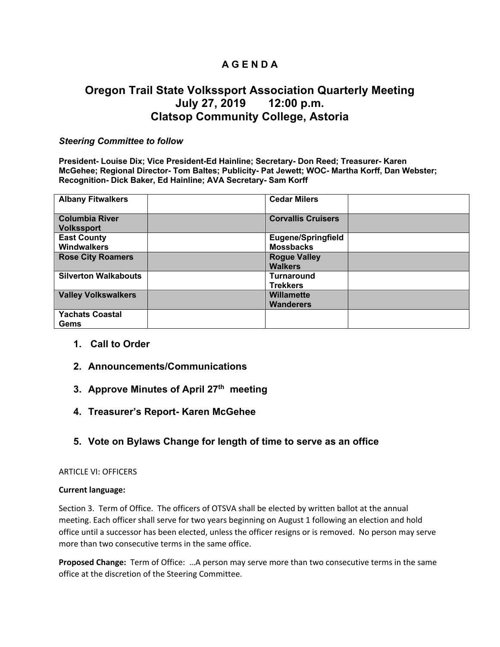## **A G E N D A**

# **Oregon Trail State Volkssport Association Quarterly Meeting July 27, 2019 12:00 p.m. Clatsop Community College, Astoria**

### *Steering Committee to follow*

**President- Louise Dix; Vice President-Ed Hainline; Secretary- Don Reed; Treasurer- Karen McGehee; Regional Director- Tom Baltes; Publicity- Pat Jewett; WOC- Martha Korff, Dan Webster; Recognition- Dick Baker, Ed Hainline; AVA Secretary- Sam Korff**

| <b>Albany Fitwalkers</b>                   | <b>Cedar Milers</b>                           |  |
|--------------------------------------------|-----------------------------------------------|--|
| <b>Columbia River</b><br><b>Volkssport</b> | <b>Corvallis Cruisers</b>                     |  |
| <b>East County</b><br><b>Windwalkers</b>   | <b>Eugene/Springfield</b><br><b>Mossbacks</b> |  |
| <b>Rose City Roamers</b>                   | <b>Rogue Valley</b><br><b>Walkers</b>         |  |
| <b>Silverton Walkabouts</b>                | <b>Turnaround</b><br><b>Trekkers</b>          |  |
| <b>Valley Volkswalkers</b>                 | <b>Willamette</b><br><b>Wanderers</b>         |  |
| <b>Yachats Coastal</b><br>Gems             |                                               |  |

- **1. Call to Order**
- **2. Announcements/Communications**
- **3. Approve Minutes of April 27th meeting**
- **4. Treasurer's Report- Karen McGehee**
- **5. Vote on Bylaws Change for length of time to serve as an office**

### ARTICLE VI: OFFICERS

#### **Current language:**

Section 3. Term of Office. The officers of OTSVA shall be elected by written ballot at the annual meeting. Each officer shall serve for two years beginning on August 1 following an election and hold office until a successor has been elected, unless the officer resigns or is removed. No person may serve more than two consecutive terms in the same office.

**Proposed Change:** Term of Office: …A person may serve more than two consecutive terms in the same office at the discretion of the Steering Committee.